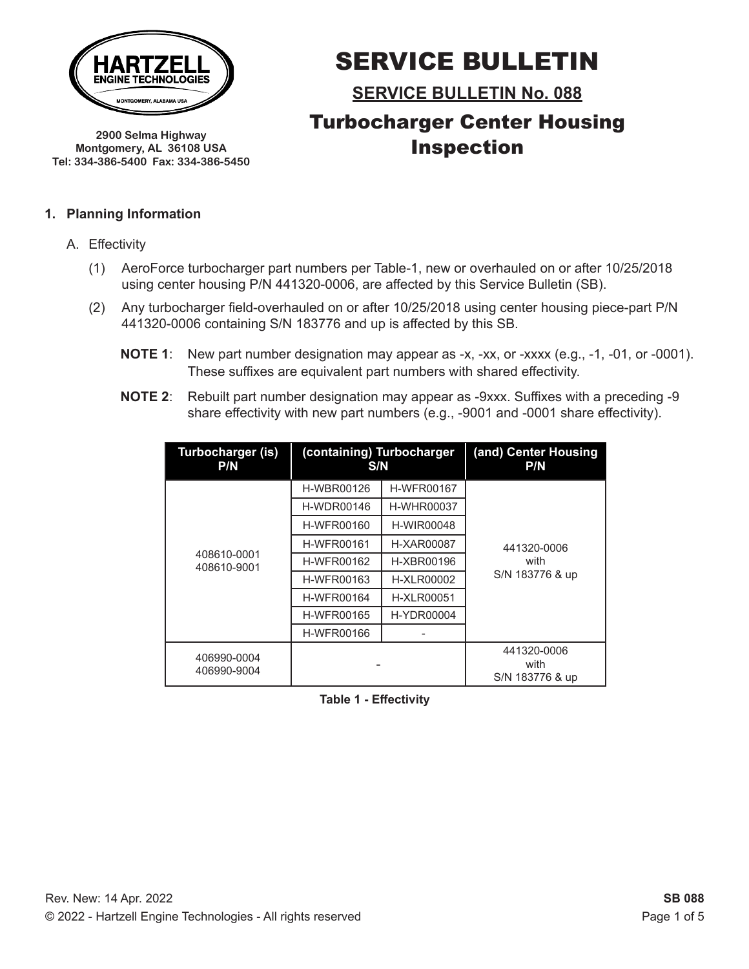

**2900 Selma Highway Montgomery, AL 36108 USA Tel: 334-386-5400 Fax: 334-386-5450**

# SERVICE BULLETIN

**SERVICE BULLETIN No. 088** Turbocharger Center Housing Inspection

#### **1. Planning Information**

- A. Effectivity
	- (1) AeroForce turbocharger part numbers per Table-1, new or overhauled on or after 10/25/2018 using center housing P/N 441320-0006, are affected by this Service Bulletin (SB).
	- (2) Any turbocharger field-overhauled on or after 10/25/2018 using center housing piece-part P/N 441320-0006 containing S/N 183776 and up is affected by this SB.
		- **NOTE 1**: New part number designation may appear as -x, -xx, or -xxxx (e.g., -1, -01, or -0001). These suffixes are equivalent part numbers with shared effectivity.
		- **NOTE 2**: Rebuilt part number designation may appear as -9xxx. Suffixes with a preceding -9 share effectivity with new part numbers (e.g., -9001 and -0001 share effectivity).

| Turbocharger (is)<br>P/N   | (containing) Turbocharger<br>S/N |                   | (and) Center Housing<br>P/N            |
|----------------------------|----------------------------------|-------------------|----------------------------------------|
|                            | <b>H-WBR00126</b>                | <b>H-WFR00167</b> |                                        |
|                            | <b>H-WDR00146</b>                | <b>H-WHR00037</b> |                                        |
|                            | <b>H-WFR00160</b>                | <b>H-WIR00048</b> |                                        |
|                            | <b>H-WFR00161</b>                | H-XAR00087        | 441320-0006                            |
| 408610-0001<br>408610-9001 | H-WFR00162                       | H-XBR00196        | with                                   |
|                            | <b>H-WFR00163</b>                | <b>H-XLR00002</b> | S/N 183776 & up                        |
|                            | <b>H-WFR00164</b>                | <b>H-XLR00051</b> |                                        |
|                            | <b>H-WFR00165</b>                | <b>H-YDR00004</b> |                                        |
|                            | <b>H-WFR00166</b>                |                   |                                        |
| 406990-0004<br>406990-9004 |                                  |                   | 441320-0006<br>with<br>S/N 183776 & up |

**Table 1 - Effectivity**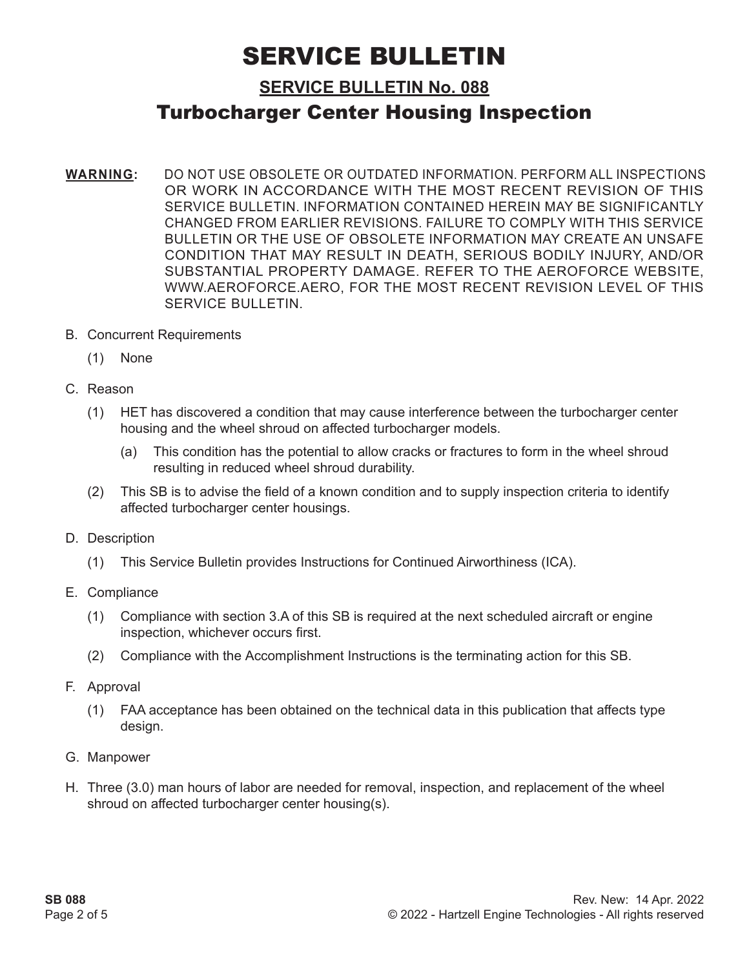### **SERVICE BULLETIN No. 088**

## Turbocharger Center Housing Inspection

- **WARNING:** DO NOT USE OBSOLETE OR OUTDATED INFORMATION. PERFORM ALL INSPECTIONS OR WORK IN ACCORDANCE WITH THE MOST RECENT REVISION OF THIS SERVICE BULLETIN. INFORMATION CONTAINED HEREIN MAY BE SIGNIFICANTLY CHANGED FROM EARLIER REVISIONS. FAILURE TO COMPLY WITH THIS SERVICE BULLETIN OR THE USE OF OBSOLETE INFORMATION MAY CREATE AN UNSAFE CONDITION THAT MAY RESULT IN DEATH, SERIOUS BODILY INJURY, AND/OR SUBSTANTIAL PROPERTY DAMAGE. REFER TO THE AEROFORCE WEBSITE, WWW.AEROFORCE.AERO, FOR THE MOST RECENT REVISION LEVEL OF THIS SERVICE BULLETIN.
- B. Concurrent Requirements
	- (1) None
- C. Reason
	- (1) HET has discovered a condition that may cause interference between the turbocharger center housing and the wheel shroud on affected turbocharger models.
		- (a) This condition has the potential to allow cracks or fractures to form in the wheel shroud resulting in reduced wheel shroud durability.
	- (2) This SB is to advise the field of a known condition and to supply inspection criteria to identify affected turbocharger center housings.
- D. Description
	- (1) This Service Bulletin provides Instructions for Continued Airworthiness (ICA).
- E. Compliance
	- (1) Compliance with section 3.A of this SB is required at the next scheduled aircraft or engine inspection, whichever occurs first.
	- (2) Compliance with the Accomplishment Instructions is the terminating action for this SB.
- F. Approval
	- (1) FAA acceptance has been obtained on the technical data in this publication that affects type design.
- G. Manpower
- H. Three (3.0) man hours of labor are needed for removal, inspection, and replacement of the wheel shroud on affected turbocharger center housing(s).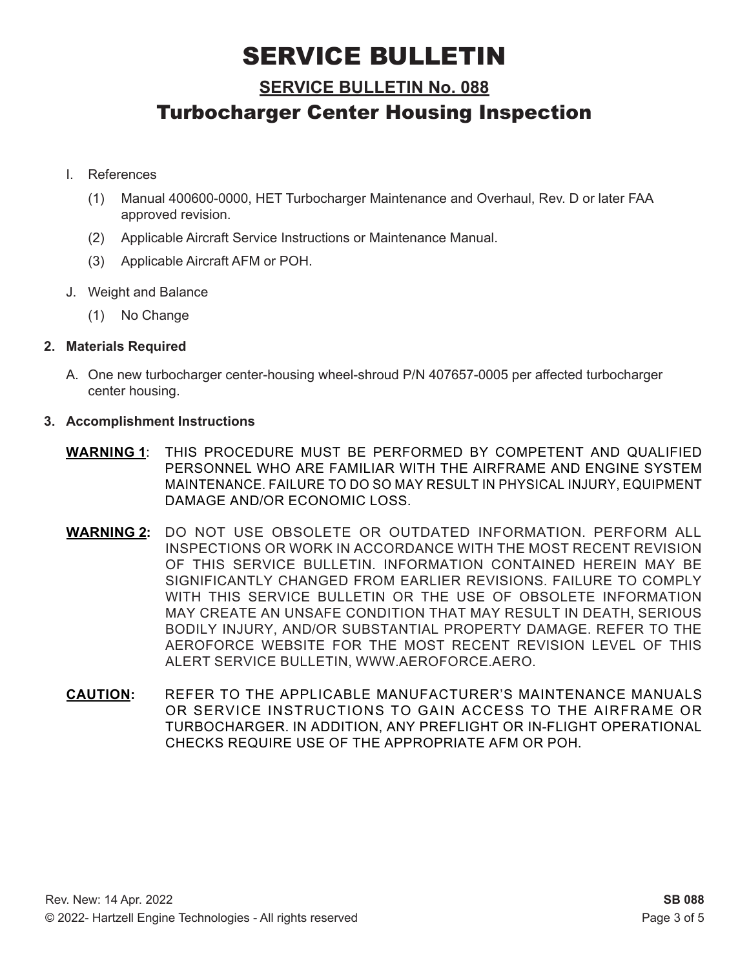### **SERVICE BULLETIN No. 088**

### Turbocharger Center Housing Inspection

- I. References
	- (1) Manual 400600-0000, HET Turbocharger Maintenance and Overhaul, Rev. D or later FAA approved revision.
	- (2) Applicable Aircraft Service Instructions or Maintenance Manual.
	- (3) Applicable Aircraft AFM or POH.
- J. Weight and Balance
	- (1) No Change

#### **2. Materials Required**

A. One new turbocharger center-housing wheel-shroud P/N 407657-0005 per affected turbocharger center housing.

#### **3. Accomplishment Instructions**

- **WARNING 1**: THIS PROCEDURE MUST BE PERFORMED BY COMPETENT AND QUALIFIED PERSONNEL WHO ARE FAMILIAR WITH THE AIRFRAME AND ENGINE SYSTEM MAINTENANCE. FAILURE TO DO SO MAY RESULT IN PHYSICAL INJURY, EQUIPMENT DAMAGE AND/OR ECONOMIC LOSS.
- **WARNING 2:** DO NOT USE OBSOLETE OR OUTDATED INFORMATION. PERFORM ALL INSPECTIONS OR WORK IN ACCORDANCE WITH THE MOST RECENT REVISION OF THIS SERVICE BULLETIN. INFORMATION CONTAINED HEREIN MAY BE SIGNIFICANTLY CHANGED FROM EARLIER REVISIONS. FAILURE TO COMPLY WITH THIS SERVICE BULLETIN OR THE USE OF OBSOLETE INFORMATION MAY CREATE AN UNSAFE CONDITION THAT MAY RESULT IN DEATH, SERIOUS BODILY INJURY, AND/OR SUBSTANTIAL PROPERTY DAMAGE. REFER TO THE AEROFORCE WEBSITE FOR THE MOST RECENT REVISION LEVEL OF THIS ALERT SERVICE BULLETIN, WWW.AEROFORCE.AERO.
- **CAUTION:** REFER TO THE APPLICABLE MANUFACTURER'S MAINTENANCE MANUALS OR SERVICE INSTRUCTIONS TO GAIN ACCESS TO THE AIRFRAME OR TURBOCHARGER. IN ADDITION, ANY PREFLIGHT OR IN-FLIGHT OPERATIONAL CHECKS REQUIRE USE OF THE APPROPRIATE AFM OR POH.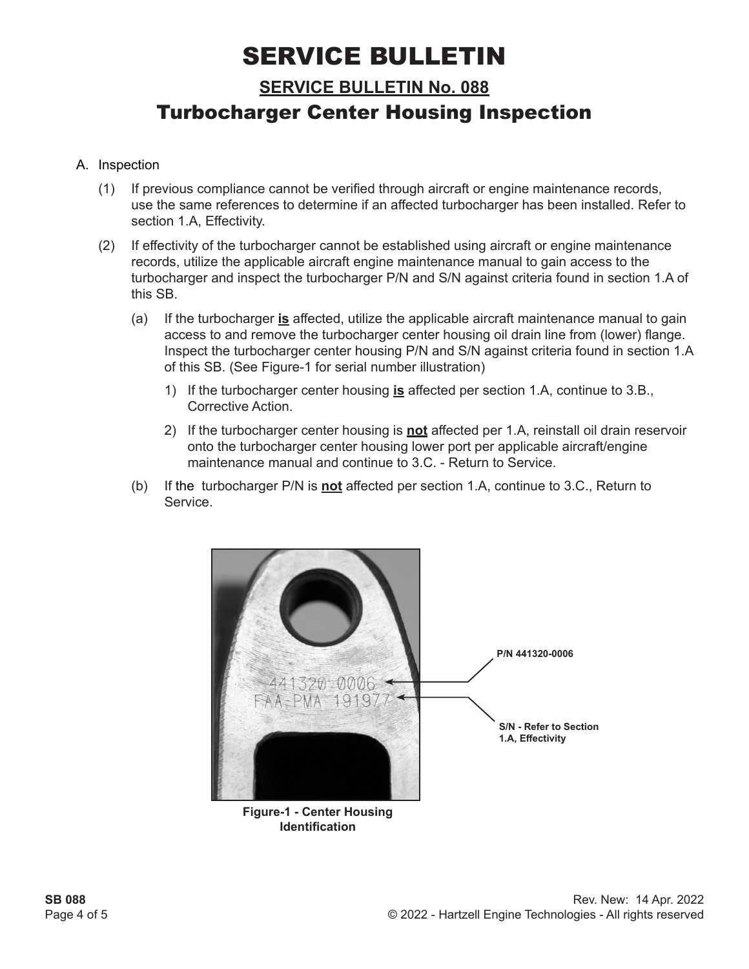**SERVICE BULLETIN No. 088**

## Turbocharger Center Housing Inspection

#### A. Inspection

- (1) If previous compliance cannot be verified through aircraft or engine maintenance records, use the same references to determine if an affected turbocharger has been installed. Refer to section 1.A, Effectivity.
- (2) If effectivity of the turbocharger cannot be established using aircraft or engine maintenance records, utilize the applicable aircraft engine maintenance manual to gain access to the turbocharger and inspect the turbocharger P/N and S/N against criteria found in section 1.A of this SB.
	- (a) If the turbocharger **is** affected, utilize the applicable aircraft maintenance manual to gain access to and remove the turbocharger center housing oil drain line from (lower) flange. Inspect the turbocharger center housing P/N and S/N against criteria found in section 1.A of this SB. (See Figure-1 for serial number illustration)
		- 1) If the turbocharger center housing **is** affected per section 1.A, continue to 3.B., Corrective Action.
		- 2) If the turbocharger center housing is **not** affected per 1.A, reinstall oil drain reservoir onto the turbocharger center housing lower port per applicable aircraft/engine maintenance manual and continue to 3.C. - Return to Service.
	- (b) If the turbocharger P/N is **not** affected per section 1.A, continue to 3.C., Return to Service.

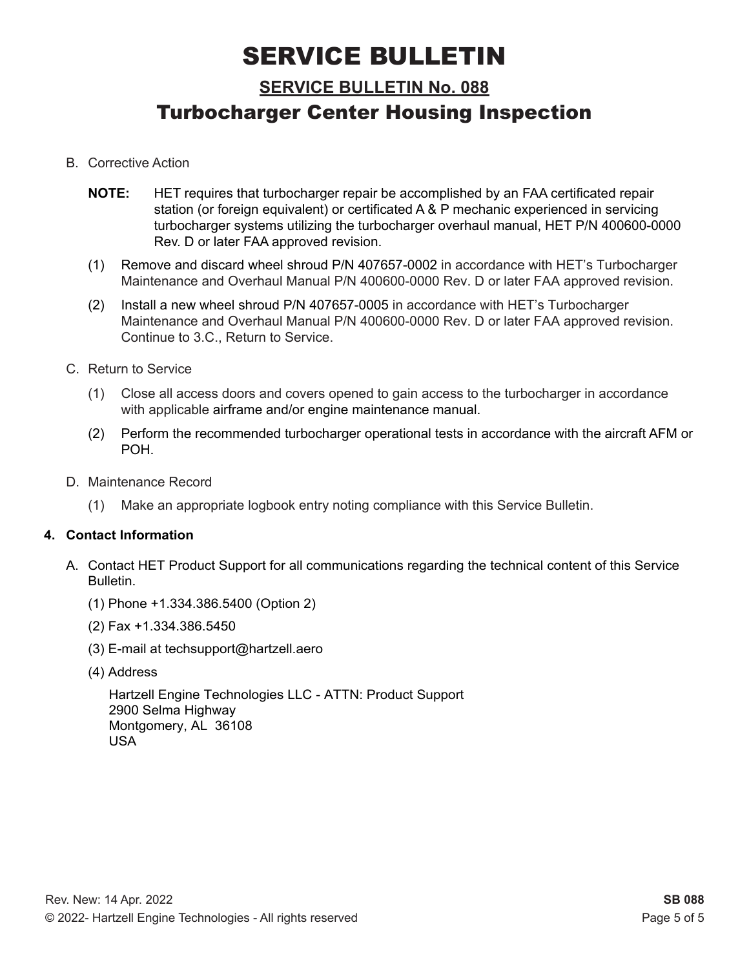## **SERVICE BULLETIN No. 088** Turbocharger Center Housing Inspection

- B. Corrective Action
	- **NOTE:** HET requires that turbocharger repair be accomplished by an FAA certificated repair station (or foreign equivalent) or certificated A & P mechanic experienced in servicing turbocharger systems utilizing the turbocharger overhaul manual, HET P/N 400600-0000 Rev. D or later FAA approved revision.
	- (1) Remove and discard wheel shroud P/N 407657-0002 in accordance with HET's Turbocharger Maintenance and Overhaul Manual P/N 400600-0000 Rev. D or later FAA approved revision.
	- (2) Install a new wheel shroud P/N 407657-0005 in accordance with HET's Turbocharger Maintenance and Overhaul Manual P/N 400600-0000 Rev. D or later FAA approved revision. Continue to 3.C., Return to Service.
- C. Return to Service
	- (1) Close all access doors and covers opened to gain access to the turbocharger in accordance with applicable airframe and/or engine maintenance manual.
	- (2) Perform the recommended turbocharger operational tests in accordance with the aircraft AFM or POH.
- D. Maintenance Record
	- (1) Make an appropriate logbook entry noting compliance with this Service Bulletin.

#### **4. Contact Information**

- A. Contact HET Product Support for all communications regarding the technical content of this Service Bulletin.
	- (1) Phone +1.334.386.5400 (Option 2)
	- (2) Fax +1.334.386.5450
	- (3) E-mail at techsupport@hartzell.aero
	- (4) Address

Hartzell Engine Technologies LLC - ATTN: Product Support 2900 Selma Highway Montgomery, AL 36108 USA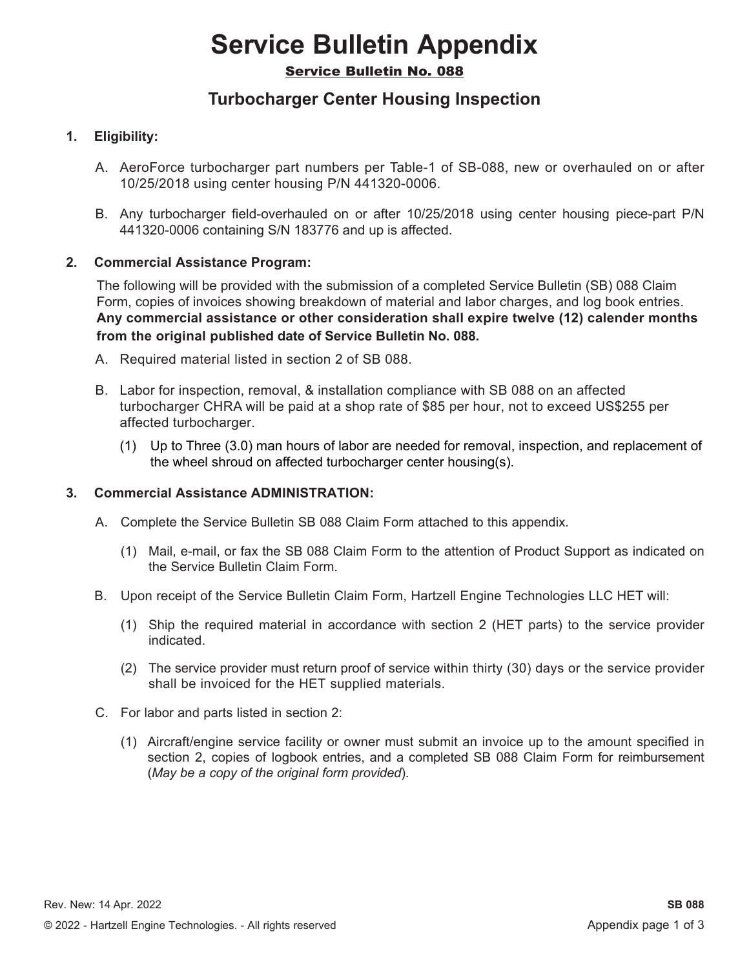# **Service Bulletin Appendix**

#### Service Bulletin No. 088

### **Turbocharger Center Housing Inspection**

#### **1. Eligibility:**

- A. AeroForce turbocharger part numbers per Table-1 of SB-088, new or overhauled on or after 10/25/2018 using center housing P/N 441320-0006.
- B. Any turbocharger field-overhauled on or after 10/25/2018 using center housing piece-part P/N 441320-0006 containing S/N 183776 and up is affected.

#### **2. Commercial Assistance Program:**

The following will be provided with the submission of a completed Service Bulletin (SB) 088 Claim Form, copies of invoices showing breakdown of material and labor charges, and log book entries. **Any commercial assistance or other consideration shall expire twelve (12) calender months from the original published date of Service Bulletin No. 088.**

- A. Required material listed in section 2 of SB 088.
- B. Labor for inspection, removal, & installation compliance with SB 088 on an affected turbocharger CHRA will be paid at a shop rate of \$85 per hour, not to exceed US\$255 per affected turbocharger.
	- (1) Up to Three (3.0) man hours of labor are needed for removal, inspection, and replacement of the wheel shroud on affected turbocharger center housing(s).

#### **3. Commercial Assistance ADMINISTRATION:**

- A. Complete the Service Bulletin SB 088 Claim Form attached to this appendix.
	- (1) Mail, e-mail, or fax the SB 088 Claim Form to the attention of Product Support as indicated on the Service Bulletin Claim Form.
- B. Upon receipt of the Service Bulletin Claim Form, Hartzell Engine Technologies LLC HET will:
	- (1) Ship the required material in accordance with section 2 (HET parts) to the service provider indicated.
	- (2) The service provider must return proof of service within thirty (30) days or the service provider shall be invoiced for the HET supplied materials.
- C. For labor and parts listed in section 2:
	- (1) Aircraft/engine service facility or owner must submit an invoice up to the amount specified in section 2, copies of logbook entries, and a completed SB 088 Claim Form for reimbursement (*May be a copy of the original form provided*).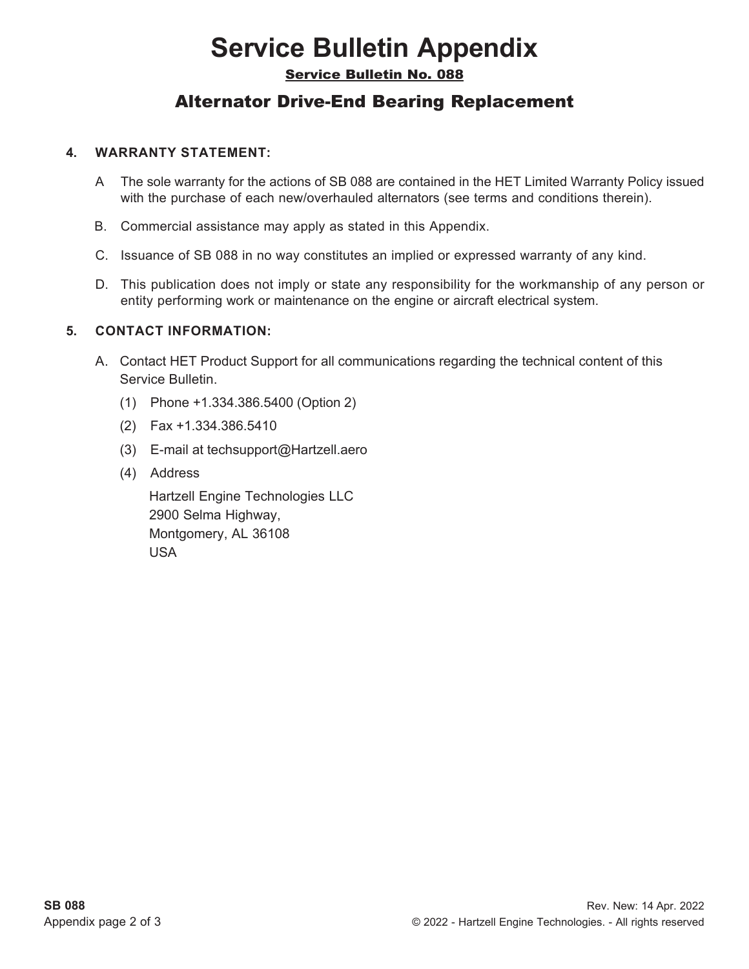# **Service Bulletin Appendix**

Service Bulletin No. 088

### Alternator Drive-End Bearing Replacement

#### **4. WARRANTY STATEMENT:**

- A The sole warranty for the actions of SB 088 are contained in the HET Limited Warranty Policy issued with the purchase of each new/overhauled alternators (see terms and conditions therein).
- B. Commercial assistance may apply as stated in this Appendix.
- C. Issuance of SB 088 in no way constitutes an implied or expressed warranty of any kind.
- D. This publication does not imply or state any responsibility for the workmanship of any person or entity performing work or maintenance on the engine or aircraft electrical system.

#### **5. CONTACT INFORMATION:**

- A. Contact HET Product Support for all communications regarding the technical content of this Service Bulletin.
	- (1) Phone +1.334.386.5400 (Option 2)
	- (2) Fax +1.334.386.5410
	- (3) E-mail at techsupport@Hartzell.aero
	- (4) Address

Hartzell Engine Technologies LLC 2900 Selma Highway, Montgomery, AL 36108 USA